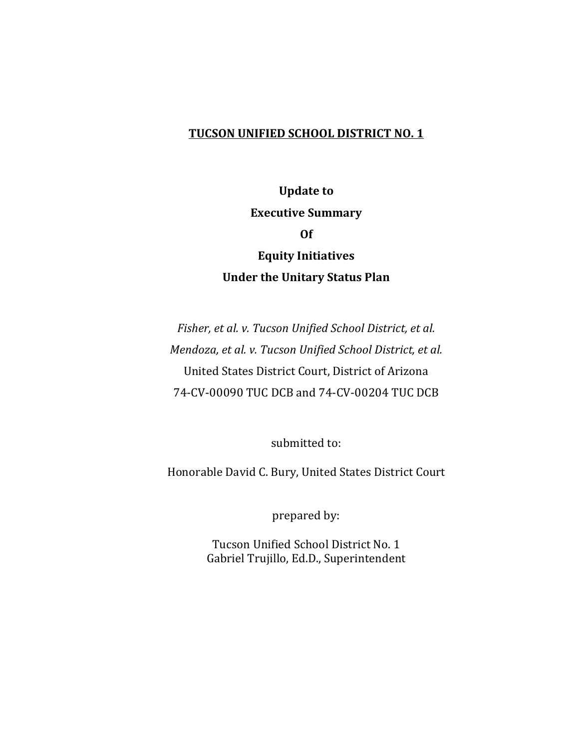#### **TUCSON UNIFIED SCHOOL DISTRICT NO. 1**

# **Update to Executive Summary Of Equity Initiatives Under the Unitary Status Plan**

*Fisher, et al. v. Tucson Unified School District, et al. Mendoza, et al. v. Tucson Unified School District, et al.* United States District Court, District of Arizona 74‐CV‐00090 TUC DCB and 74‐CV‐00204 TUC DCB

submitted to:

Honorable David C. Bury, United States District Court

prepared by:

Tucson Unified School District No. 1 Gabriel Trujillo, Ed.D., Superintendent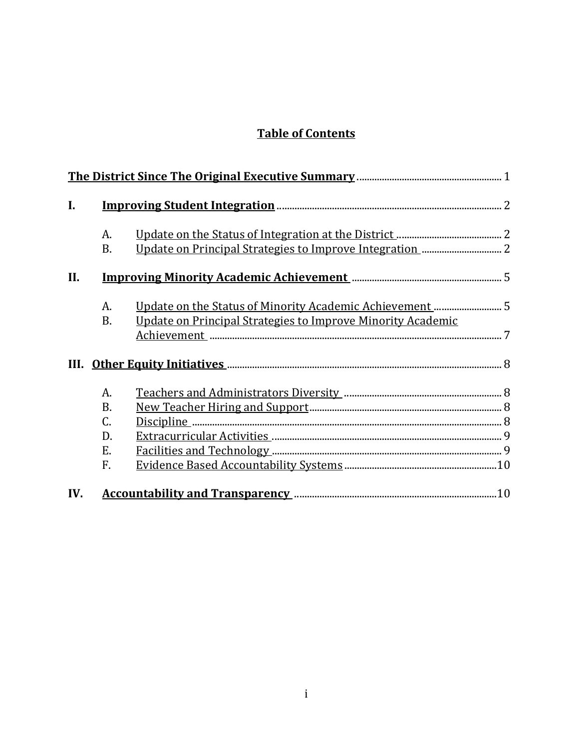## **Table of Contents**

| $\mathbf{I}$ . |           |                                                             |  |  |  |  |  |  |
|----------------|-----------|-------------------------------------------------------------|--|--|--|--|--|--|
|                | A.        |                                                             |  |  |  |  |  |  |
|                | <b>B.</b> |                                                             |  |  |  |  |  |  |
| II.            |           |                                                             |  |  |  |  |  |  |
|                | A.        |                                                             |  |  |  |  |  |  |
|                | <b>B.</b> | Update on Principal Strategies to Improve Minority Academic |  |  |  |  |  |  |
|                |           |                                                             |  |  |  |  |  |  |
|                |           |                                                             |  |  |  |  |  |  |
|                | A.        |                                                             |  |  |  |  |  |  |
|                | <b>B.</b> |                                                             |  |  |  |  |  |  |
|                | C.        |                                                             |  |  |  |  |  |  |
|                | D.        |                                                             |  |  |  |  |  |  |
|                | Ε.        |                                                             |  |  |  |  |  |  |
|                | F.        |                                                             |  |  |  |  |  |  |
| IV.            |           |                                                             |  |  |  |  |  |  |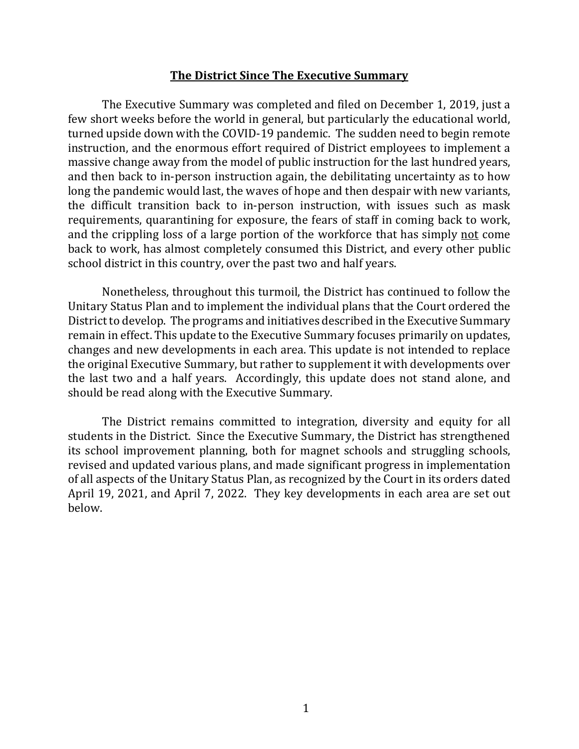#### **The District Since The Executive Summary**

The Executive Summary was completed and filed on December 1, 2019, just a few short weeks before the world in general, but particularly the educational world, turned upside down with the COVID-19 pandemic. The sudden need to begin remote instruction, and the enormous effort required of District employees to implement a massive change away from the model of public instruction for the last hundred years, and then back to in-person instruction again, the debilitating uncertainty as to how long the pandemic would last, the waves of hope and then despair with new variants, the difficult transition back to in-person instruction, with issues such as mask requirements, quarantining for exposure, the fears of staff in coming back to work, and the crippling loss of a large portion of the workforce that has simply not come back to work, has almost completely consumed this District, and every other public school district in this country, over the past two and half years.

Nonetheless, throughout this turmoil, the District has continued to follow the Unitary Status Plan and to implement the individual plans that the Court ordered the District to develop. The programs and initiatives described in the Executive Summary remain in effect. This update to the Executive Summary focuses primarily on updates, changes and new developments in each area. This update is not intended to replace the original Executive Summary, but rather to supplement it with developments over the last two and a half years. Accordingly, this update does not stand alone, and should be read along with the Executive Summary.

The District remains committed to integration, diversity and equity for all students in the District. Since the Executive Summary, the District has strengthened its school improvement planning, both for magnet schools and struggling schools, revised and updated various plans, and made significant progress in implementation of all aspects of the Unitary Status Plan, as recognized by the Court in its orders dated April 19, 2021, and April 7, 2022. They key developments in each area are set out below.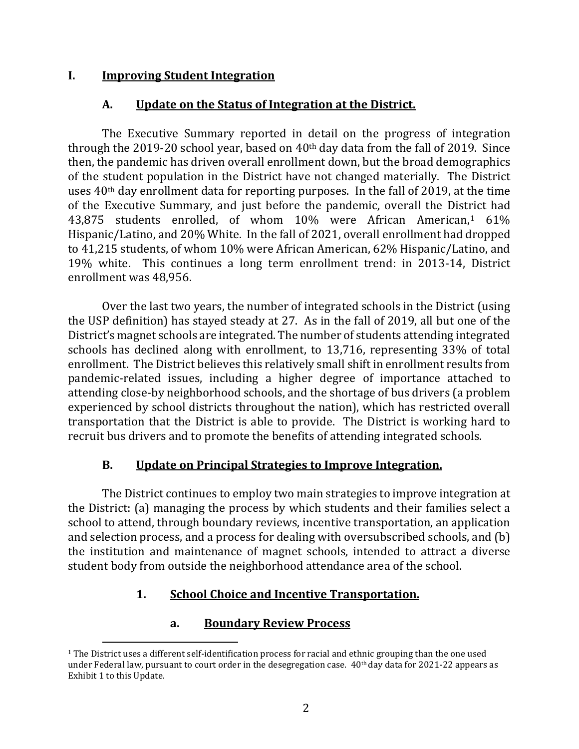#### **I. Improving Student Integration**

#### **A. Update on the Status of Integration at the District.**

The Executive Summary reported in detail on the progress of integration through the 2019-20 school year, based on 40th day data from the fall of 2019. Since then, the pandemic has driven overall enrollment down, but the broad demographics of the student population in the District have not changed materially. The District uses 40th day enrollment data for reporting purposes. In the fall of 2019, at the time of the Executive Summary, and just before the pandemic, overall the District had 43,875 students enrolled, of whom 10% were African American,[1](#page-3-0) 61% Hispanic/Latino, and 20% White. In the fall of 2021, overall enrollment had dropped to 41,215 students, of whom 10% were African American, 62% Hispanic/Latino, and 19% white. This continues a long term enrollment trend: in 2013-14, District enrollment was 48,956.

Over the last two years, the number of integrated schools in the District (using the USP definition) has stayed steady at 27. As in the fall of 2019, all but one of the District's magnet schools are integrated. The number of students attending integrated schools has declined along with enrollment, to 13,716, representing 33% of total enrollment. The District believes this relatively small shift in enrollment results from pandemic-related issues, including a higher degree of importance attached to attending close-by neighborhood schools, and the shortage of bus drivers (a problem experienced by school districts throughout the nation), which has restricted overall transportation that the District is able to provide. The District is working hard to recruit bus drivers and to promote the benefits of attending integrated schools.

#### **B. Update on Principal Strategies to Improve Integration.**

The District continues to employ two main strategies to improve integration at the District: (a) managing the process by which students and their families select a school to attend, through boundary reviews, incentive transportation, an application and selection process, and a process for dealing with oversubscribed schools, and (b) the institution and maintenance of magnet schools, intended to attract a diverse student body from outside the neighborhood attendance area of the school.

## **1. School Choice and Incentive Transportation.**

#### **a. Boundary Review Process**

<span id="page-3-0"></span> $1$  The District uses a different self-identification process for racial and ethnic grouping than the one used under Federal law, pursuant to court order in the desegregation case.  $40<sup>th</sup>$  day data for 2021-22 appears as Exhibit 1 to this Update.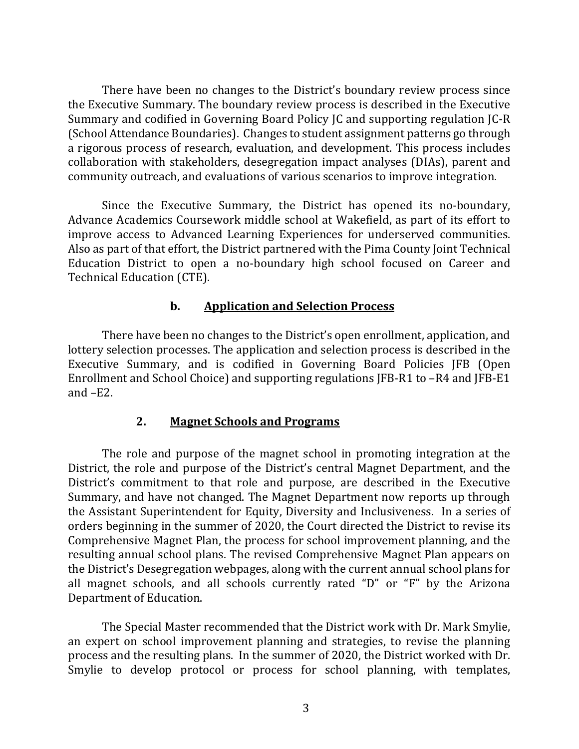There have been no changes to the District's boundary review process since the Executive Summary. The boundary review process is described in the Executive Summary and codified in Governing Board Policy JC and supporting regulation JC-R (School Attendance Boundaries). Changes to student assignment patterns go through a rigorous process of research, evaluation, and development. This process includes collaboration with stakeholders, desegregation impact analyses (DIAs), parent and community outreach, and evaluations of various scenarios to improve integration.

Since the Executive Summary, the District has opened its no-boundary, Advance Academics Coursework middle school at Wakefield, as part of its effort to improve access to Advanced Learning Experiences for underserved communities. Also as part of that effort, the District partnered with the Pima County Joint Technical Education District to open a no-boundary high school focused on Career and Technical Education (CTE).

#### **b. Application and Selection Process**

There have been no changes to the District's open enrollment, application, and lottery selection processes. The application and selection process is described in the Executive Summary, and is codified in Governing Board Policies JFB (Open Enrollment and School Choice) and supporting regulations JFB-R1 to –R4 and JFB-E1 and –E2.

#### **2. Magnet Schools and Programs**

The role and purpose of the magnet school in promoting integration at the District, the role and purpose of the District's central Magnet Department, and the District's commitment to that role and purpose, are described in the Executive Summary, and have not changed. The Magnet Department now reports up through the Assistant Superintendent for Equity, Diversity and Inclusiveness. In a series of orders beginning in the summer of 2020, the Court directed the District to revise its Comprehensive Magnet Plan, the process for school improvement planning, and the resulting annual school plans. The revised Comprehensive Magnet Plan appears on the District's Desegregation webpages, along with the current annual school plans for all magnet schools, and all schools currently rated "D" or "F" by the Arizona Department of Education.

The Special Master recommended that the District work with Dr. Mark Smylie, an expert on school improvement planning and strategies, to revise the planning process and the resulting plans. In the summer of 2020, the District worked with Dr. Smylie to develop protocol or process for school planning, with templates,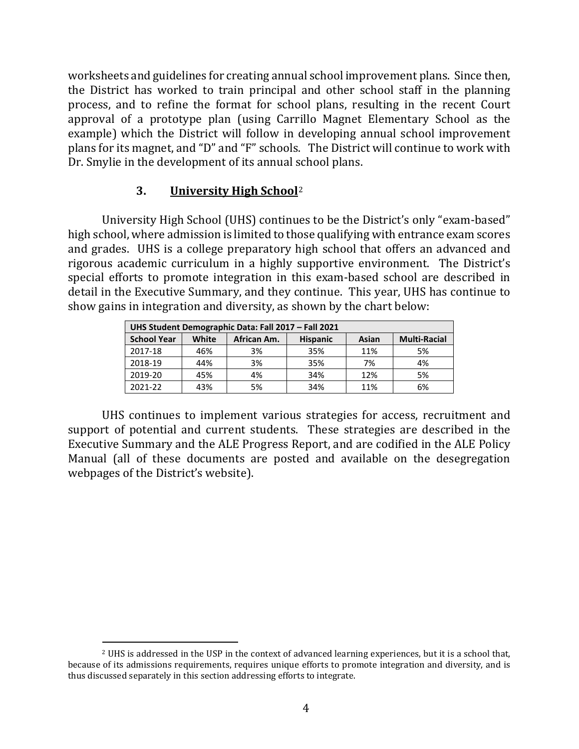worksheets and guidelines for creating annual school improvement plans. Since then, the District has worked to train principal and other school staff in the planning process, and to refine the format for school plans, resulting in the recent Court approval of a prototype plan (using Carrillo Magnet Elementary School as the example) which the District will follow in developing annual school improvement plans for its magnet, and "D" and "F" schools. The District will continue to work with Dr. Smylie in the development of its annual school plans.

#### **3. University High School**[2](#page-5-0)

University High School (UHS) continues to be the District's only "exam-based" high school, where admission is limited to those qualifying with entrance exam scores and grades. UHS is a college preparatory high school that offers an advanced and rigorous academic curriculum in a highly supportive environment. The District's special efforts to promote integration in this exam-based school are described in detail in the Executive Summary, and they continue. This year, UHS has continue to show gains in integration and diversity, as shown by the chart below:

| UHS Student Demographic Data: Fall 2017 - Fall 2021 |       |             |                 |       |                     |  |  |  |
|-----------------------------------------------------|-------|-------------|-----------------|-------|---------------------|--|--|--|
| <b>School Year</b>                                  | White | African Am. | <b>Hispanic</b> | Asian | <b>Multi-Racial</b> |  |  |  |
| 2017-18                                             | 46%   | 3%          | 35%             | 11%   | 5%                  |  |  |  |
| 2018-19                                             | 44%   | 3%          | 35%             | 7%    | 4%                  |  |  |  |
| 2019-20                                             | 45%   | 4%          | 34%             | 12%   | 5%                  |  |  |  |
| 2021-22                                             | 43%   | 5%          | 34%             | 11%   | 6%                  |  |  |  |

UHS continues to implement various strategies for access, recruitment and support of potential and current students. These strategies are described in the Executive Summary and the ALE Progress Report, and are codified in the ALE Policy Manual (all of these documents are posted and available on the desegregation webpages of the District's website).

<span id="page-5-0"></span>i<br>I <sup>2</sup> UHS is addressed in the USP in the context of advanced learning experiences, but it is a school that, because of its admissions requirements, requires unique efforts to promote integration and diversity, and is thus discussed separately in this section addressing efforts to integrate.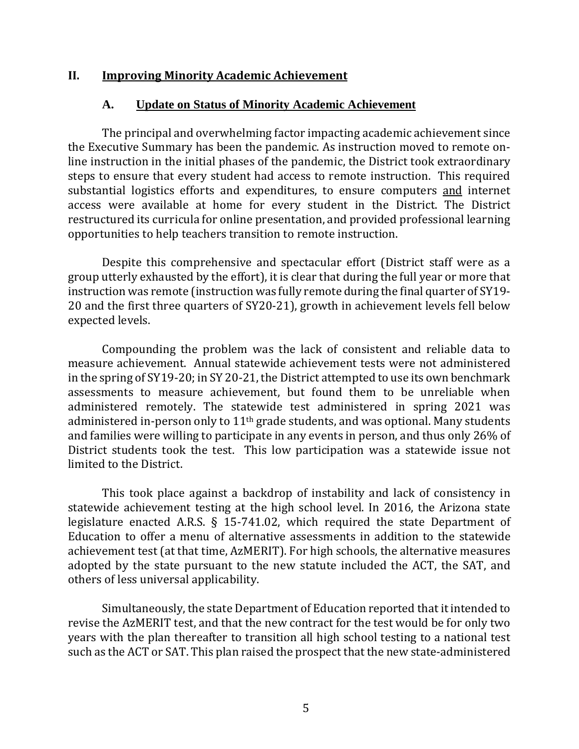#### **II. Improving Minority Academic Achievement**

#### **A. Update on Status of Minority Academic Achievement**

The principal and overwhelming factor impacting academic achievement since the Executive Summary has been the pandemic. As instruction moved to remote online instruction in the initial phases of the pandemic, the District took extraordinary steps to ensure that every student had access to remote instruction. This required substantial logistics efforts and expenditures, to ensure computers and internet access were available at home for every student in the District. The District restructured its curricula for online presentation, and provided professional learning opportunities to help teachers transition to remote instruction.

Despite this comprehensive and spectacular effort (District staff were as a group utterly exhausted by the effort), it is clear that during the full year or more that instruction was remote (instruction was fully remote during the final quarter of SY19-20 and the first three quarters of SY20-21), growth in achievement levels fell below expected levels.

Compounding the problem was the lack of consistent and reliable data to measure achievement. Annual statewide achievement tests were not administered in the spring of SY19-20; in SY 20-21, the District attempted to use its own benchmark assessments to measure achievement, but found them to be unreliable when administered remotely. The statewide test administered in spring 2021 was administered in-person only to 11th grade students, and was optional. Many students and families were willing to participate in any events in person, and thus only 26% of District students took the test. This low participation was a statewide issue not limited to the District.

This took place against a backdrop of instability and lack of consistency in statewide achievement testing at the high school level. In 2016, the Arizona state legislature enacted A.R.S. § 15-741.02, which required the state Department of Education to offer a menu of alternative assessments in addition to the statewide achievement test (at that time, AzMERIT). For high schools, the alternative measures adopted by the state pursuant to the new statute included the ACT, the SAT, and others of less universal applicability.

Simultaneously, the state Department of Education reported that it intended to revise the AzMERIT test, and that the new contract for the test would be for only two years with the plan thereafter to transition all high school testing to a national test such as the ACT or SAT. This plan raised the prospect that the new state-administered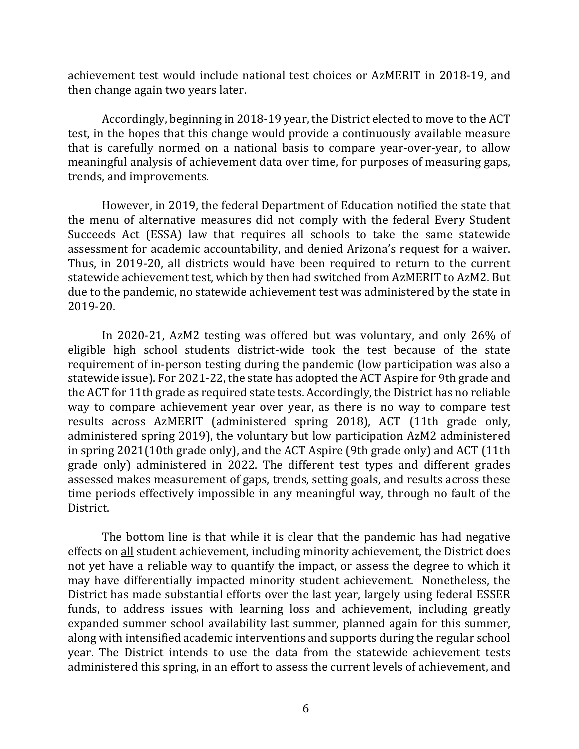achievement test would include national test choices or AzMERIT in 2018-19, and then change again two years later.

Accordingly, beginning in 2018-19 year, the District elected to move to the ACT test, in the hopes that this change would provide a continuously available measure that is carefully normed on a national basis to compare year-over-year, to allow meaningful analysis of achievement data over time, for purposes of measuring gaps, trends, and improvements.

However, in 2019, the federal Department of Education notified the state that the menu of alternative measures did not comply with the federal Every Student Succeeds Act (ESSA) law that requires all schools to take the same statewide assessment for academic accountability, and denied Arizona's request for a waiver. Thus, in 2019-20, all districts would have been required to return to the current statewide achievement test, which by then had switched from AzMERIT to AzM2. But due to the pandemic, no statewide achievement test was administered by the state in 2019-20.

In 2020-21, AzM2 testing was offered but was voluntary, and only 26% of eligible high school students district-wide took the test because of the state requirement of in-person testing during the pandemic (low participation was also a statewide issue). For 2021-22, the state has adopted the ACT Aspire for 9th grade and the ACT for 11th grade as required state tests. Accordingly, the District has no reliable way to compare achievement year over year, as there is no way to compare test results across AzMERIT (administered spring 2018), ACT (11th grade only, administered spring 2019), the voluntary but low participation AzM2 administered in spring 2021(10th grade only), and the ACT Aspire (9th grade only) and ACT (11th grade only) administered in 2022. The different test types and different grades assessed makes measurement of gaps, trends, setting goals, and results across these time periods effectively impossible in any meaningful way, through no fault of the District.

The bottom line is that while it is clear that the pandemic has had negative effects on all student achievement, including minority achievement, the District does not yet have a reliable way to quantify the impact, or assess the degree to which it may have differentially impacted minority student achievement. Nonetheless, the District has made substantial efforts over the last year, largely using federal ESSER funds, to address issues with learning loss and achievement, including greatly expanded summer school availability last summer, planned again for this summer, along with intensified academic interventions and supports during the regular school year. The District intends to use the data from the statewide achievement tests administered this spring, in an effort to assess the current levels of achievement, and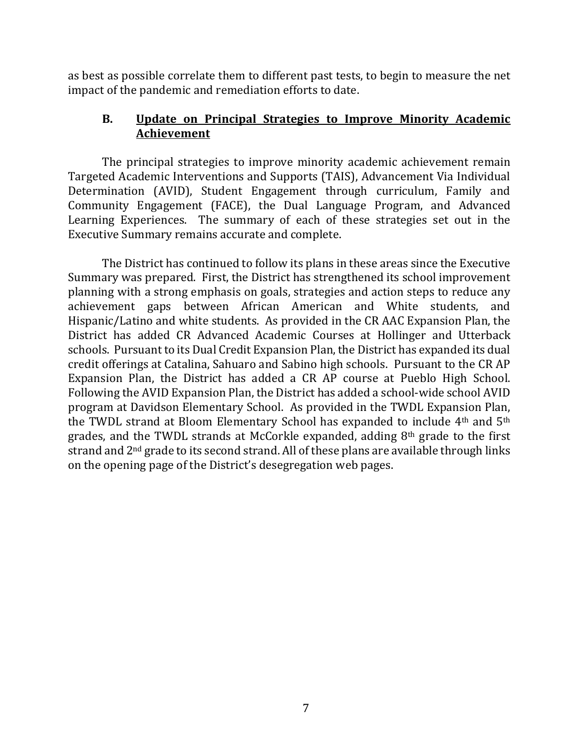as best as possible correlate them to different past tests, to begin to measure the net impact of the pandemic and remediation efforts to date.

### **B. Update on Principal Strategies to Improve Minority Academic Achievement**

The principal strategies to improve minority academic achievement remain Targeted Academic Interventions and Supports (TAIS), Advancement Via Individual Determination (AVID), Student Engagement through curriculum, Family and Community Engagement (FACE), the Dual Language Program, and Advanced Learning Experiences. The summary of each of these strategies set out in the Executive Summary remains accurate and complete.

The District has continued to follow its plans in these areas since the Executive Summary was prepared. First, the District has strengthened its school improvement planning with a strong emphasis on goals, strategies and action steps to reduce any achievement gaps between African American and White students, and Hispanic/Latino and white students. As provided in the CR AAC Expansion Plan, the District has added CR Advanced Academic Courses at Hollinger and Utterback schools. Pursuant to its Dual Credit Expansion Plan, the District has expanded its dual credit offerings at Catalina, Sahuaro and Sabino high schools. Pursuant to the CR AP Expansion Plan, the District has added a CR AP course at Pueblo High School. Following the AVID Expansion Plan, the District has added a school-wide school AVID program at Davidson Elementary School. As provided in the TWDL Expansion Plan, the TWDL strand at Bloom Elementary School has expanded to include 4th and 5th grades, and the TWDL strands at McCorkle expanded, adding 8th grade to the first strand and 2<sup>nd</sup> grade to its second strand. All of these plans are available through links on the opening page of the District's desegregation web pages.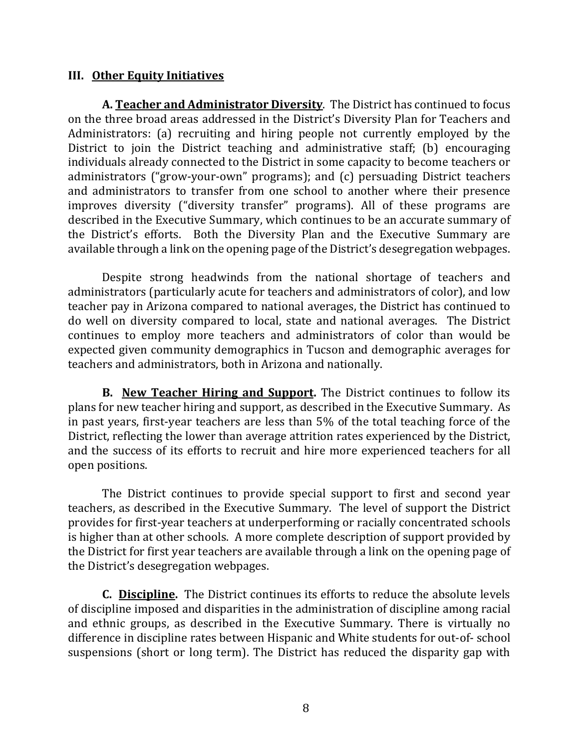#### **III. Other Equity Initiatives**

**A. Teacher and Administrator Diversity**. The District has continued to focus on the three broad areas addressed in the District's Diversity Plan for Teachers and Administrators: (a) recruiting and hiring people not currently employed by the District to join the District teaching and administrative staff; (b) encouraging individuals already connected to the District in some capacity to become teachers or administrators ("grow-your-own" programs); and (c) persuading District teachers and administrators to transfer from one school to another where their presence improves diversity ("diversity transfer" programs). All of these programs are described in the Executive Summary, which continues to be an accurate summary of the District's efforts. Both the Diversity Plan and the Executive Summary are available through a link on the opening page of the District's desegregation webpages.

Despite strong headwinds from the national shortage of teachers and administrators (particularly acute for teachers and administrators of color), and low teacher pay in Arizona compared to national averages, the District has continued to do well on diversity compared to local, state and national averages. The District continues to employ more teachers and administrators of color than would be expected given community demographics in Tucson and demographic averages for teachers and administrators, both in Arizona and nationally.

**B. New Teacher Hiring and Support.** The District continues to follow its plans for new teacher hiring and support, as described in the Executive Summary. As in past years, first-year teachers are less than 5% of the total teaching force of the District, reflecting the lower than average attrition rates experienced by the District, and the success of its efforts to recruit and hire more experienced teachers for all open positions.

 The District continues to provide special support to first and second year teachers, as described in the Executive Summary. The level of support the District provides for first-year teachers at underperforming or racially concentrated schools is higher than at other schools. A more complete description of support provided by the District for first year teachers are available through a link on the opening page of the District's desegregation webpages.

**C. Discipline.** The District continues its efforts to reduce the absolute levels of discipline imposed and disparities in the administration of discipline among racial and ethnic groups, as described in the Executive Summary. There is virtually no difference in discipline rates between Hispanic and White students for out‐of‐ school suspensions (short or long term). The District has reduced the disparity gap with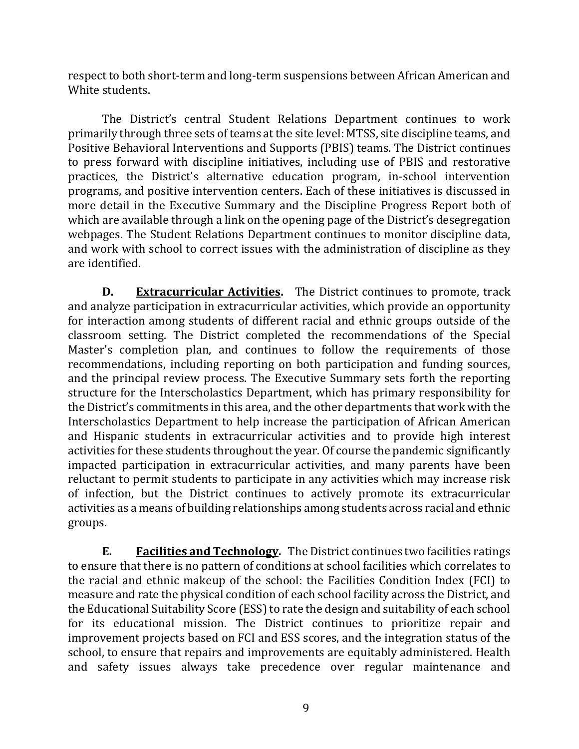respect to both short-term and long-term suspensions between African American and White students.

 The District's central Student Relations Department continues to work primarily through three sets of teams at the site level: MTSS, site discipline teams, and Positive Behavioral Interventions and Supports (PBIS) teams. The District continues to press forward with discipline initiatives, including use of PBIS and restorative practices, the District's alternative education program, in-school intervention programs, and positive intervention centers. Each of these initiatives is discussed in more detail in the Executive Summary and the Discipline Progress Report both of which are available through a link on the opening page of the District's desegregation webpages. The Student Relations Department continues to monitor discipline data, and work with school to correct issues with the administration of discipline as they are identified.

**D. Extracurricular Activities.** The District continues to promote, track and analyze participation in extracurricular activities, which provide an opportunity for interaction among students of different racial and ethnic groups outside of the classroom setting. The District completed the recommendations of the Special Master's completion plan, and continues to follow the requirements of those recommendations, including reporting on both participation and funding sources, and the principal review process. The Executive Summary sets forth the reporting structure for the Interscholastics Department, which has primary responsibility for the District's commitments in this area, and the other departments that work with the Interscholastics Department to help increase the participation of African American and Hispanic students in extracurricular activities and to provide high interest activities for these students throughout the year. Of course the pandemic significantly impacted participation in extracurricular activities, and many parents have been reluctant to permit students to participate in any activities which may increase risk of infection, but the District continues to actively promote its extracurricular activities as a means of building relationships among students across racial and ethnic groups.

**E. Facilities and Technology.** The District continues two facilities ratings to ensure that there is no pattern of conditions at school facilities which correlates to the racial and ethnic makeup of the school: the Facilities Condition Index (FCI) to measure and rate the physical condition of each school facility across the District, and the Educational Suitability Score (ESS) to rate the design and suitability of each school for its educational mission. The District continues to prioritize repair and improvement projects based on FCI and ESS scores, and the integration status of the school, to ensure that repairs and improvements are equitably administered. Health and safety issues always take precedence over regular maintenance and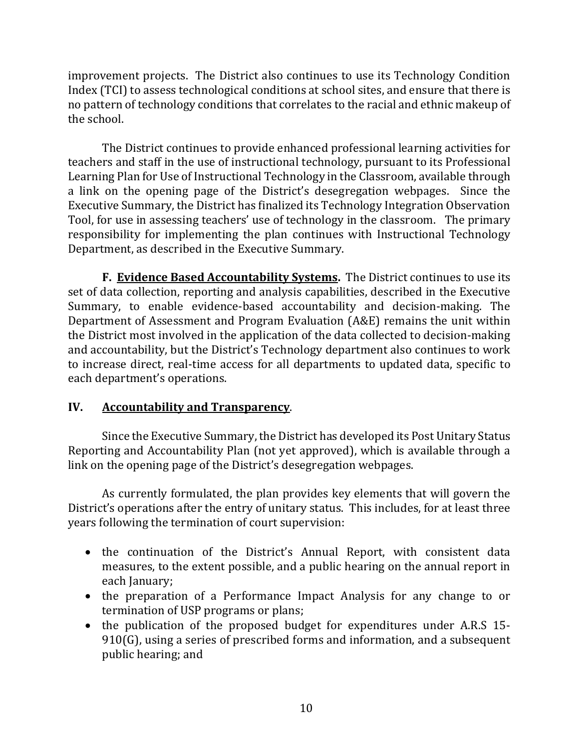improvement projects. The District also continues to use its Technology Condition Index (TCI) to assess technological conditions at school sites, and ensure that there is no pattern of technology conditions that correlates to the racial and ethnic makeup of the school.

The District continues to provide enhanced professional learning activities for teachers and staff in the use of instructional technology, pursuant to its Professional Learning Plan for Use of Instructional Technology in the Classroom, available through a link on the opening page of the District's desegregation webpages. Since the Executive Summary, the District has finalized its Technology Integration Observation Tool, for use in assessing teachers' use of technology in the classroom. The primary responsibility for implementing the plan continues with Instructional Technology Department, as described in the Executive Summary.

**F. Evidence Based Accountability Systems.** The District continues to use its set of data collection, reporting and analysis capabilities, described in the Executive Summary, to enable evidence-based accountability and decision-making. The Department of Assessment and Program Evaluation (A&E) remains the unit within the District most involved in the application of the data collected to decision-making and accountability, but the District's Technology department also continues to work to increase direct, real-time access for all departments to updated data, specific to each department's operations.

#### **IV. Accountability and Transparency**.

Since the Executive Summary, the District has developed its Post Unitary Status Reporting and Accountability Plan (not yet approved), which is available through a link on the opening page of the District's desegregation webpages.

As currently formulated, the plan provides key elements that will govern the District's operations after the entry of unitary status. This includes, for at least three years following the termination of court supervision:

- the continuation of the District's Annual Report, with consistent data measures, to the extent possible, and a public hearing on the annual report in each January;
- the preparation of a Performance Impact Analysis for any change to or termination of USP programs or plans;
- the publication of the proposed budget for expenditures under A.R.S 15-910(G), using a series of prescribed forms and information, and a subsequent public hearing; and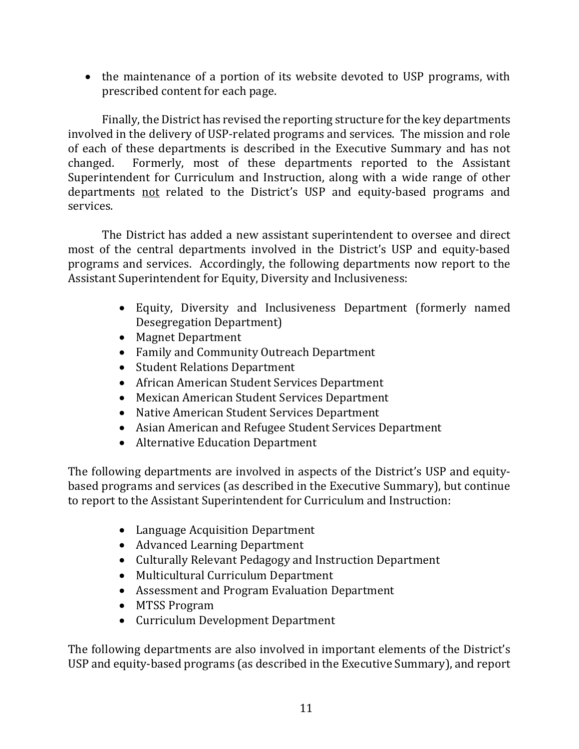• the maintenance of a portion of its website devoted to USP programs, with prescribed content for each page.

Finally, the District has revised the reporting structure for the key departments involved in the delivery of USP-related programs and services. The mission and role of each of these departments is described in the Executive Summary and has not changed. Formerly, most of these departments reported to the Assistant Formerly, most of these departments reported to the Assistant Superintendent for Curriculum and Instruction, along with a wide range of other departments not related to the District's USP and equity-based programs and services.

The District has added a new assistant superintendent to oversee and direct most of the central departments involved in the District's USP and equity-based programs and services. Accordingly, the following departments now report to the Assistant Superintendent for Equity, Diversity and Inclusiveness:

- Equity, Diversity and Inclusiveness Department (formerly named Desegregation Department)
- Magnet Department
- Family and Community Outreach Department
- Student Relations Department
- African American Student Services Department
- Mexican American Student Services Department
- Native American Student Services Department
- Asian American and Refugee Student Services Department
- Alternative Education Department

The following departments are involved in aspects of the District's USP and equitybased programs and services (as described in the Executive Summary), but continue to report to the Assistant Superintendent for Curriculum and Instruction:

- Language Acquisition Department
- Advanced Learning Department
- Culturally Relevant Pedagogy and Instruction Department
- Multicultural Curriculum Department
- Assessment and Program Evaluation Department
- MTSS Program
- Curriculum Development Department

The following departments are also involved in important elements of the District's USP and equity-based programs (as described in the Executive Summary), and report